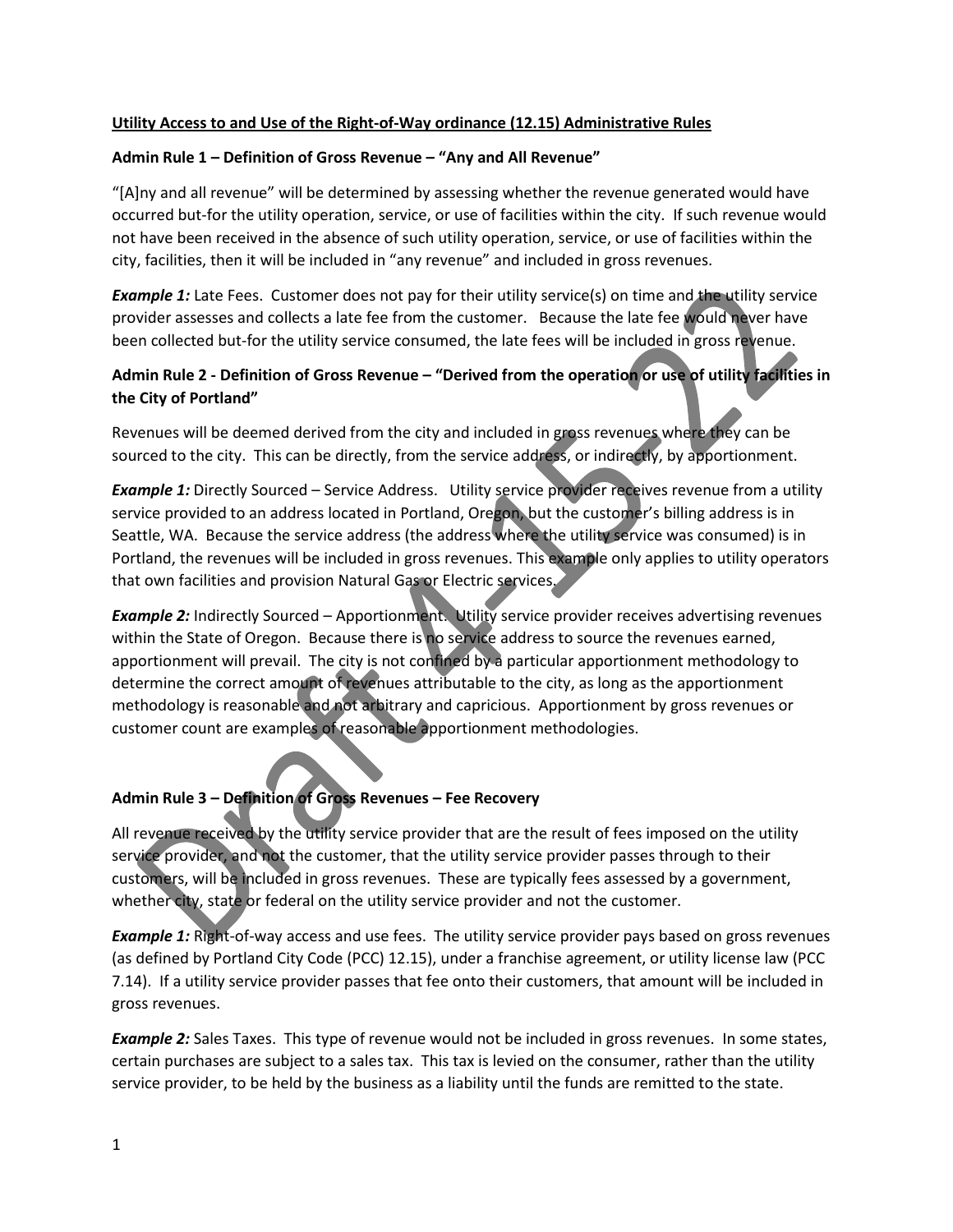#### **Utility Access to and Use of the Right-of-Way ordinance (12.15) Administrative Rules**

#### **Admin Rule 1 – Definition of Gross Revenue – "Any and All Revenue"**

"[A]ny and all revenue" will be determined by assessing whether the revenue generated would have occurred but-for the utility operation, service, or use of facilities within the city. If such revenue would not have been received in the absence of such utility operation, service, or use of facilities within the city, facilities, then it will be included in "any revenue" and included in gross revenues.

*Example 1:* Late Fees. Customer does not pay for their utility service(s) on time and the utility service provider assesses and collects a late fee from the customer. Because the late fee would never have been collected but-for the utility service consumed, the late fees will be included in gross revenue.

## **Admin Rule 2 - Definition of Gross Revenue – "Derived from the operation or use of utility facilities in the City of Portland"**

Revenues will be deemed derived from the city and included in gross revenues where they can be sourced to the city. This can be directly, from the service address, or indirectly, by apportionment.

**Example 1:** Directly Sourced – Service Address. Utility service provider receives revenue from a utility service provided to an address located in Portland, Oregon, but the customer's billing address is in Seattle, WA. Because the service address (the address where the utility service was consumed) is in Portland, the revenues will be included in gross revenues. This example only applies to utility operators that own facilities and provision Natural Gas or Electric services.

**Example 2:** Indirectly Sourced – Apportionment. Utility service provider receives advertising revenues within the State of Oregon. Because there is no service address to source the revenues earned, apportionment will prevail. The city is not confined by a particular apportionment methodology to determine the correct amount of revenues attributable to the city, as long as the apportionment methodology is reasonable and not arbitrary and capricious. Apportionment by gross revenues or customer count are examples of reasonable apportionment methodologies.

#### **Admin Rule 3 – Definition of Gross Revenues – Fee Recovery**

All revenue received by the utility service provider that are the result of fees imposed on the utility service provider, and not the customer, that the utility service provider passes through to their customers, will be included in gross revenues. These are typically fees assessed by a government, whether city, state or federal on the utility service provider and not the customer.

*Example 1:* Right-of-way access and use fees. The utility service provider pays based on gross revenues (as defined by Portland City Code (PCC) 12.15), under a franchise agreement, or utility license law (PCC 7.14). If a utility service provider passes that fee onto their customers, that amount will be included in gross revenues.

**Example 2:** Sales Taxes. This type of revenue would not be included in gross revenues. In some states, certain purchases are subject to a sales tax. This tax is levied on the consumer, rather than the utility service provider, to be held by the business as a liability until the funds are remitted to the state.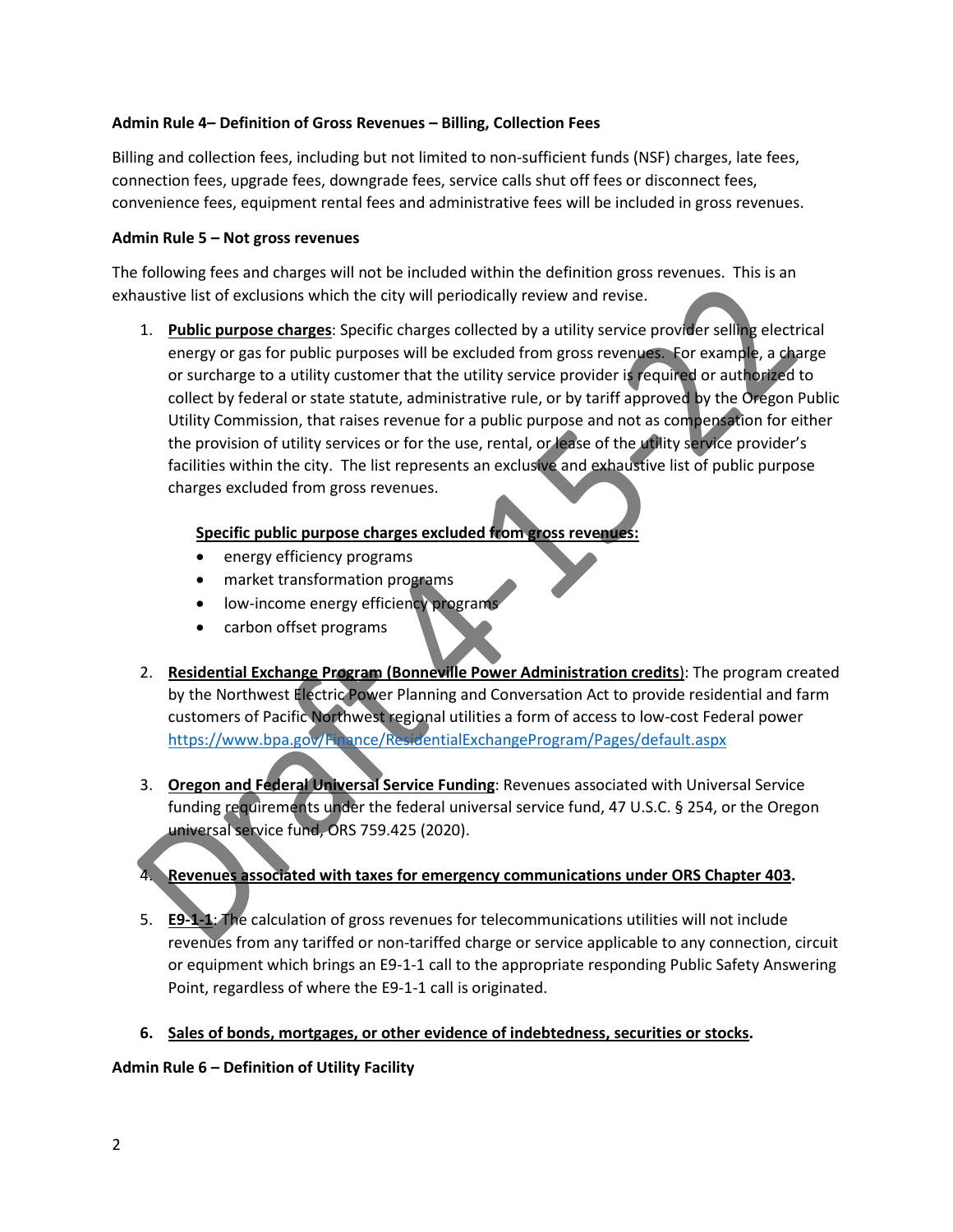#### **Admin Rule 4– Definition of Gross Revenues – Billing, Collection Fees**

Billing and collection fees, including but not limited to non-sufficient funds (NSF) charges, late fees, connection fees, upgrade fees, downgrade fees, service calls shut off fees or disconnect fees, convenience fees, equipment rental fees and administrative fees will be included in gross revenues.

#### **Admin Rule 5 – Not gross revenues**

The following fees and charges will not be included within the definition gross revenues. This is an exhaustive list of exclusions which the city will periodically review and revise.

1. **Public purpose charges**: Specific charges collected by a utility service provider selling electrical energy or gas for public purposes will be excluded from gross revenues. For example, a charge or surcharge to a utility customer that the utility service provider is required or authorized to collect by federal or state statute, administrative rule, or by tariff approved by the Oregon Public Utility Commission, that raises revenue for a public purpose and not as compensation for either the provision of utility services or for the use, rental, or lease of the utility service provider's facilities within the city. The list represents an exclusive and exhaustive list of public purpose charges excluded from gross revenues.

#### **Specific public purpose charges excluded from gross revenues:**

- energy efficiency programs
- market transformation programs
- low-income energy efficiency programs
- carbon offset programs
- 2. **Residential Exchange Program (Bonneville Power Administration credits**): The program created by the Northwest Electric Power Planning and Conversation Act to provide residential and farm customers of Pacific Northwest regional utilities a form of access to low-cost Federal power <https://www.bpa.gov/Finance/ResidentialExchangeProgram/Pages/default.aspx>
- 3. **Oregon and Federal Universal Service Funding**: Revenues associated with Universal Service funding requirements under the federal universal service fund, 47 U.S.C. § 254, or the Oregon universal service fund, ORS 759.425 (2020).

## 4. **Revenues associated with taxes for emergency communications under ORS Chapter 403.**

- 5. **E9-1-1**: The calculation of gross revenues for telecommunications utilities will not include revenues from any tariffed or non-tariffed charge or service applicable to any connection, circuit or equipment which brings an E9-1-1 call to the appropriate responding Public Safety Answering Point, regardless of where the E9-1-1 call is originated.
- **6. Sales of bonds, mortgages, or other evidence of indebtedness, securities or stocks.**

## **Admin Rule 6 – Definition of Utility Facility**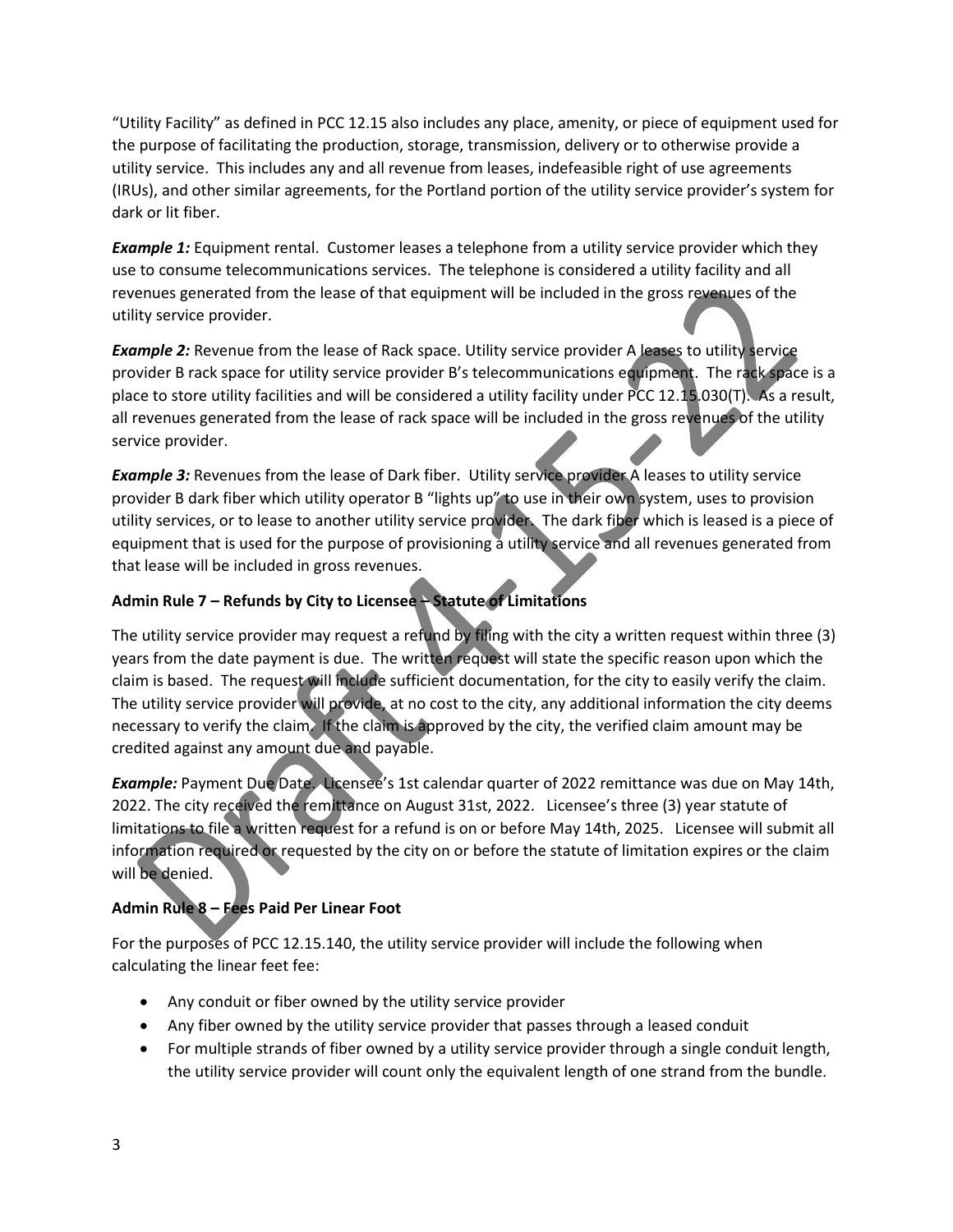"Utility Facility" as defined in PCC 12.15 also includes any place, amenity, or piece of equipment used for the purpose of facilitating the production, storage, transmission, delivery or to otherwise provide a utility service. This includes any and all revenue from leases, indefeasible right of use agreements (IRUs), and other similar agreements, for the Portland portion of the utility service provider's system for dark or lit fiber.

**Example 1:** Equipment rental. Customer leases a telephone from a utility service provider which they use to consume telecommunications services. The telephone is considered a utility facility and all revenues generated from the lease of that equipment will be included in the gross revenues of the utility service provider.

**Example 2:** Revenue from the lease of Rack space. Utility service provider A leases to utility service provider B rack space for utility service provider B's telecommunications equipment. The rack space is a place to store utility facilities and will be considered a utility facility under PCC 12.15.030(T). As a result, all revenues generated from the lease of rack space will be included in the gross revenues of the utility service provider.

**Example 3:** Revenues from the lease of Dark fiber. Utility service provider A leases to utility service provider B dark fiber which utility operator B "lights up" to use in their own system, uses to provision utility services, or to lease to another utility service provider. The dark fiber which is leased is a piece of equipment that is used for the purpose of provisioning a utility service and all revenues generated from that lease will be included in gross revenues.

# **Admin Rule 7 – Refunds by City to Licensee – Statute of Limitations**

The utility service provider may request a refund by filing with the city a written request within three (3) years from the date payment is due. The written request will state the specific reason upon which the claim is based. The request will include sufficient documentation, for the city to easily verify the claim. The utility service provider will provide, at no cost to the city, any additional information the city deems necessary to verify the claim. If the claim is approved by the city, the verified claim amount may be credited against any amount due and payable.

*Example:* Payment Due Date. Licensee's 1st calendar quarter of 2022 remittance was due on May 14th, 2022. The city received the remittance on August 31st, 2022. Licensee's three (3) year statute of limitations to file a written request for a refund is on or before May 14th, 2025. Licensee will submit all information required or requested by the city on or before the statute of limitation expires or the claim will be denied.

# **Admin Rule 8 – Fees Paid Per Linear Foot**

For the purposes of PCC 12.15.140, the utility service provider will include the following when calculating the linear feet fee:

- Any conduit or fiber owned by the utility service provider
- Any fiber owned by the utility service provider that passes through a leased conduit
- For multiple strands of fiber owned by a utility service provider through a single conduit length, the utility service provider will count only the equivalent length of one strand from the bundle.